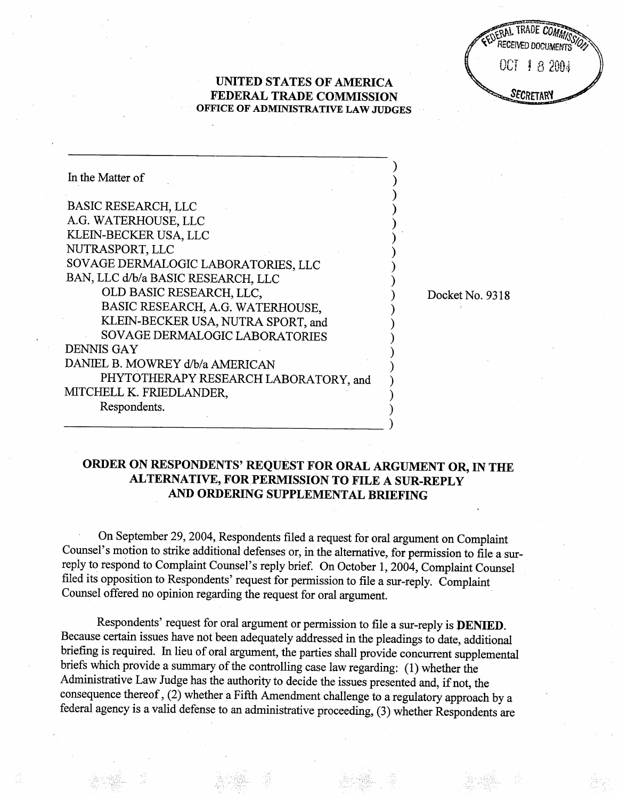$\mathbb{R}$   $\mathbb{R}$   $\mathbb{R}$   $\mathbb{R}$   $\mathbb{R}$   $\mathbb{R}$   $\mathbb{R}$   $\mathbb{R}$   $\mathbb{R}$   $\mathbb{R}$   $\mathbb{R}$   $\mathbb{R}$   $\mathbb{R}$   $\mathbb{R}$   $\mathbb{R}$   $\mathbb{R}$   $\mathbb{R}$   $\mathbb{R}$   $\mathbb{R}$   $\mathbb{R}$   $\mathbb{R}$   $\mathbb{R}$   $\mathbb{R}$   $\mathbb{R}$   $\mathbb{$ RECEIVED DOCUMENTS "S" OCT 13200 SECRETARY

Docket No. 9318

## UNITED STATES OF AMERICA FEDERAL TRADE COMMISSION OFFICE OF ADMINISTRATIVE LAW JUDGES

| In the Matter of                      |  |
|---------------------------------------|--|
| BASIC RESEARCH, LLC                   |  |
| A.G. WATERHOUSE, LLC                  |  |
| KLEIN-BECKER USA, LLC                 |  |
| NUTRASPORT, LLC                       |  |
| SOVAGE DERMALOGIC LABORATORIES, LLC   |  |
| BAN, LLC d/b/a BASIC RESEARCH, LLC    |  |
| OLD BASIC RESEARCH, LLC,              |  |
| BASIC RESEARCH, A.G. WATERHOUSE,      |  |
| KLEIN-BECKER USA, NUTRA SPORT, and    |  |
| SOVAGE DERMALOGIC LABORATORIES        |  |
| <b>DENNIS GAY</b>                     |  |
| DANIEL B. MOWREY d/b/a AMERICAN       |  |
| PHYTOTHERAPY RESEARCH LABORATORY, and |  |
| MITCHELL K. FRIEDLANDER,              |  |
| Respondents.                          |  |
|                                       |  |

## ORDER ON RESPONDENTS' REQUEST FOR ORAL ARGUMENT OR, IN THE AL TERNATIVE, FOR PERMISSION TO FILE A SUR-REPLY AND ORDERING SUPPLEMENTAL BRIEFING

 $\lambda$ 

On September 29, 2004, Respondents fied a request for oral argument on Complaint Counsel's motion to strike additional defenses or, in the alternative, for permission to file a surreply to respond to Complaint Counsel's reply brief. On October 1, 2004, Complaint Counsel fied its opposition to Respondents' request for permission to fie a sur-reply. Complaint Counsel offered no opinion regarding the request for oral argument.

Respondents' request for oral argument or permission to fie a sur-reply is DENIED. Because certain issues have not been adequately addressed in the pleadings to date, additional briefing is required, In lieu of oral argument, the paries shall provide concurent supplemental briefs which provide a summary of the controlling case law regarding: (1) whether the Administrative Law Judge has the authority to decide the issues presented and, if not, the consequence thereof , (2) whether a Fifth Amendment challenge to a regulatory approach by a federal agency is a valid defense to an administrative proceeding, (3) whether Respondents are